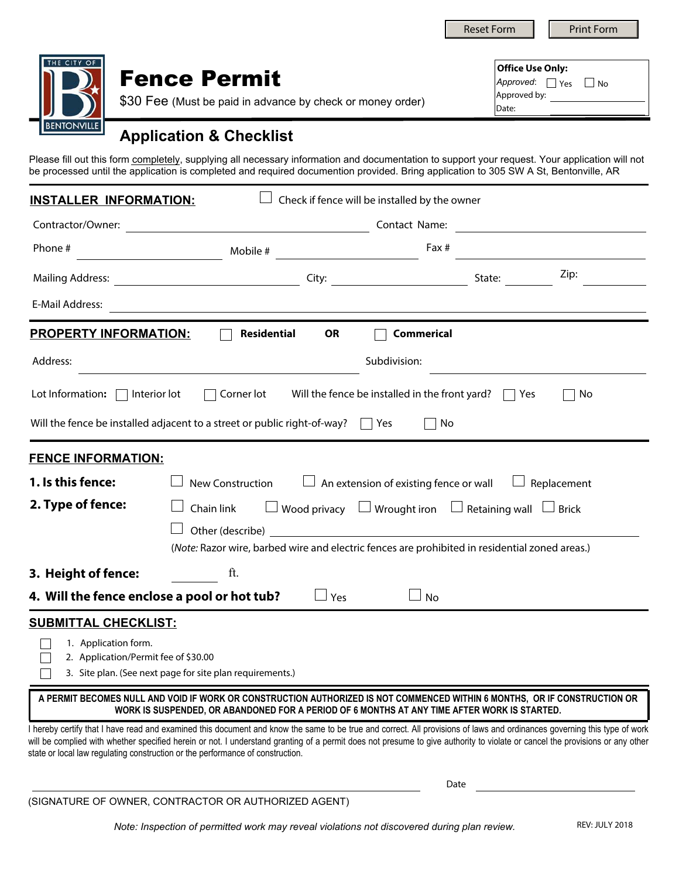Reset Form **Print Form** 

|  | <b>Fence Permit</b><br>\$30 Fee (Must be paid in advance by check or money order) |
|--|-----------------------------------------------------------------------------------|
|  | Annlication & Chackliet                                                           |

|              | <b>Office Use Only:</b><br>Approved: Yes<br>$\overline{1}$ No |  |  |  |  |
|--------------|---------------------------------------------------------------|--|--|--|--|
|              |                                                               |  |  |  |  |
| Approved by: |                                                               |  |  |  |  |
| Date:        |                                                               |  |  |  |  |

## **Application & Checklist**

Please fill out this form completely, supplying all necessary information and documentation to support your request. Your application will not be processed until the application is completed and required documention provided. Bring application to 305 SW A St, Bentonville, AR

| Check if fence will be installed by the owner<br><b>INSTALLER INFORMATION:</b>                                                                                                |                                                                                                                                                                                                                                                                                                                                                                                                                                                                                                                                                                                                                                                   |                                                                                                                             |                   |                    |  |  |  |
|-------------------------------------------------------------------------------------------------------------------------------------------------------------------------------|---------------------------------------------------------------------------------------------------------------------------------------------------------------------------------------------------------------------------------------------------------------------------------------------------------------------------------------------------------------------------------------------------------------------------------------------------------------------------------------------------------------------------------------------------------------------------------------------------------------------------------------------------|-----------------------------------------------------------------------------------------------------------------------------|-------------------|--------------------|--|--|--|
| Contractor/Owner:                                                                                                                                                             |                                                                                                                                                                                                                                                                                                                                                                                                                                                                                                                                                                                                                                                   | Contact Name:<br><u> 1980 - Johann Barn, amerikansk politiker (d. 1980)</u>                                                 |                   |                    |  |  |  |
| Phone #                                                                                                                                                                       | Mobile #                                                                                                                                                                                                                                                                                                                                                                                                                                                                                                                                                                                                                                          |                                                                                                                             | Fax #             |                    |  |  |  |
|                                                                                                                                                                               |                                                                                                                                                                                                                                                                                                                                                                                                                                                                                                                                                                                                                                                   |                                                                                                                             |                   | Zip:               |  |  |  |
| E-Mail Address:                                                                                                                                                               | <u> 1989 - Johann Stoff, amerikansk politiker (d. 1989)</u>                                                                                                                                                                                                                                                                                                                                                                                                                                                                                                                                                                                       |                                                                                                                             |                   |                    |  |  |  |
| <b>PROPERTY INFORMATION:</b>                                                                                                                                                  | Residential<br>$\perp$                                                                                                                                                                                                                                                                                                                                                                                                                                                                                                                                                                                                                            | <b>OR</b>                                                                                                                   | <b>Commerical</b> |                    |  |  |  |
| Address:                                                                                                                                                                      |                                                                                                                                                                                                                                                                                                                                                                                                                                                                                                                                                                                                                                                   | Subdivision:                                                                                                                |                   |                    |  |  |  |
| Lot Information: $\Box$ Interior lot                                                                                                                                          |                                                                                                                                                                                                                                                                                                                                                                                                                                                                                                                                                                                                                                                   | Corner lot Will the fence be installed in the front yard? $\Box$ Yes                                                        |                   | No                 |  |  |  |
|                                                                                                                                                                               | Will the fence be installed adjacent to a street or public right-of-way? $\Box$ Yes                                                                                                                                                                                                                                                                                                                                                                                                                                                                                                                                                               |                                                                                                                             | No                |                    |  |  |  |
| <b>FENCE INFORMATION:</b><br>1. Is this fence:<br>2. Type of fence:<br>3. Height of fence:                                                                                    | <b>New Construction</b><br>Chain link<br>(Note: Razor wire, barbed wire and electric fences are prohibited in residential zoned areas.)<br>ft.                                                                                                                                                                                                                                                                                                                                                                                                                                                                                                    | $\Box$ An extension of existing fence or wall<br>$\Box$ Wood privacy $\Box$ Wrought iron $\Box$ Retaining wall $\Box$ Brick |                   | $\Box$ Replacement |  |  |  |
| 4. Will the fence enclose a pool or hot tub?                                                                                                                                  |                                                                                                                                                                                                                                                                                                                                                                                                                                                                                                                                                                                                                                                   | $\Box$ Yes                                                                                                                  | ⊿ No              |                    |  |  |  |
| <b>SUBMITTAL CHECKLIST:</b><br>1. Application form.<br>2. Application/Permit fee of \$30.00<br>state or local law regulating construction or the performance of construction. | 3. Site plan. (See next page for site plan requirements.)<br>A PERMIT BECOMES NULL AND VOID IF WORK OR CONSTRUCTION AUTHORIZED IS NOT COMMENCED WITHIN 6 MONTHS, OR IF CONSTRUCTION OR<br>WORK IS SUSPENDED, OR ABANDONED FOR A PERIOD OF 6 MONTHS AT ANY TIME AFTER WORK IS STARTED.<br>I hereby certify that I have read and examined this document and know the same to be true and correct. All provisions of laws and ordinances governing this type of work<br>will be complied with whether specified herein or not. I understand granting of a permit does not presume to give authority to violate or cancel the provisions or any other |                                                                                                                             |                   |                    |  |  |  |

(SIGNATURE OF OWNER, CONTRACTOR OR AUTHORIZED AGENT)